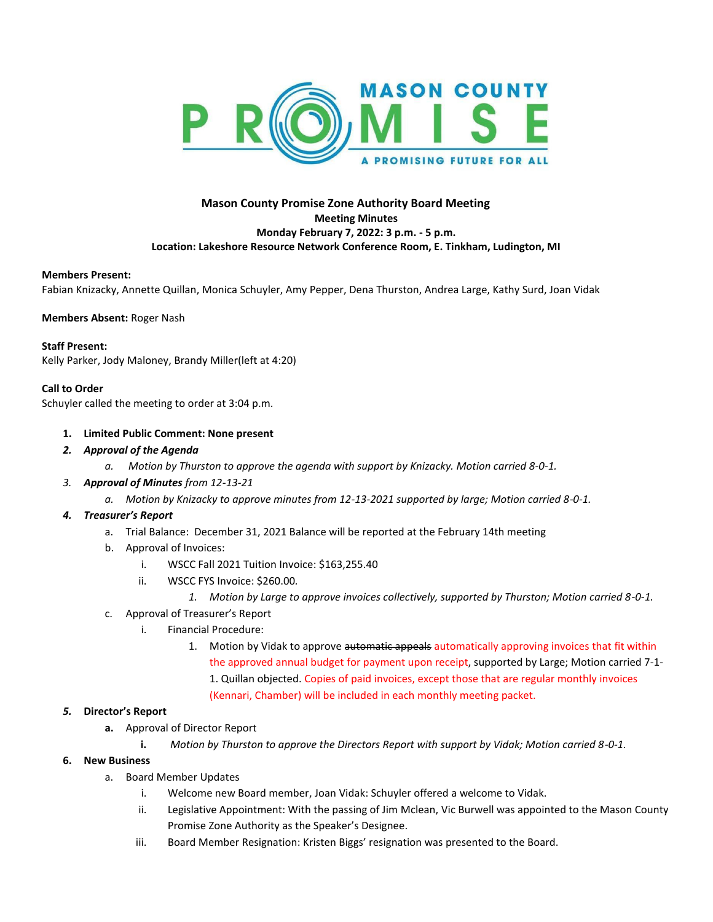

# **Mason County Promise Zone Authority Board Meeting Meeting Minutes Monday February 7, 2022: 3 p.m. - 5 p.m. Location: Lakeshore Resource Network Conference Room, E. Tinkham, Ludington, MI**

### **Members Present:**

Fabian Knizacky, Annette Quillan, Monica Schuyler, Amy Pepper, Dena Thurston, Andrea Large, Kathy Surd, Joan Vidak

**Members Absent:** Roger Nash

#### **Staff Present:**

Kelly Parker, Jody Maloney, Brandy Miller(left at 4:20)

### **Call to Order**

Schuyler called the meeting to order at 3:04 p.m.

### **1. Limited Public Comment: None present**

- *2. Approval of the Agenda*
	- *a. Motion by Thurston to approve the agenda with support by Knizacky. Motion carried 8-0-1.*
- *3. Approval of Minutes from 12-13-21*
	- *a. Motion by Knizacky to approve minutes from 12-13-2021 supported by large; Motion carried 8-0-1.*
- *4. Treasurer's Report*
	- a. Trial Balance: December 31, 2021 Balance will be reported at the February 14th meeting
	- b. Approval of Invoices:
		- i. WSCC Fall 2021 Tuition Invoice: \$163,255.40
		- ii. WSCC FYS Invoice: \$260.00*.*
			- *1. Motion by Large to approve invoices collectively, supported by Thurston; Motion carried 8-0-1.*
	- c. Approval of Treasurer's Report
		- i. Financial Procedure:
			- 1. Motion by Vidak to approve automatic appeals automatically approving invoices that fit within the approved annual budget for payment upon receipt, supported by Large; Motion carried 7-1- 1. Quillan objected. Copies of paid invoices, except those that are regular monthly invoices (Kennari, Chamber) will be included in each monthly meeting packet.

### *5.* **Director's Report**

- **a.** Approval of Director Report
	- **i.** *Motion by Thurston to approve the Directors Report with support by Vidak; Motion carried 8-0-1.*

## **6. New Business**

- a. Board Member Updates
	- i. Welcome new Board member, Joan Vidak: Schuyler offered a welcome to Vidak.
	- ii. Legislative Appointment: With the passing of Jim Mclean, Vic Burwell was appointed to the Mason County Promise Zone Authority as the Speaker's Designee.
	- iii. Board Member Resignation: Kristen Biggs' resignation was presented to the Board.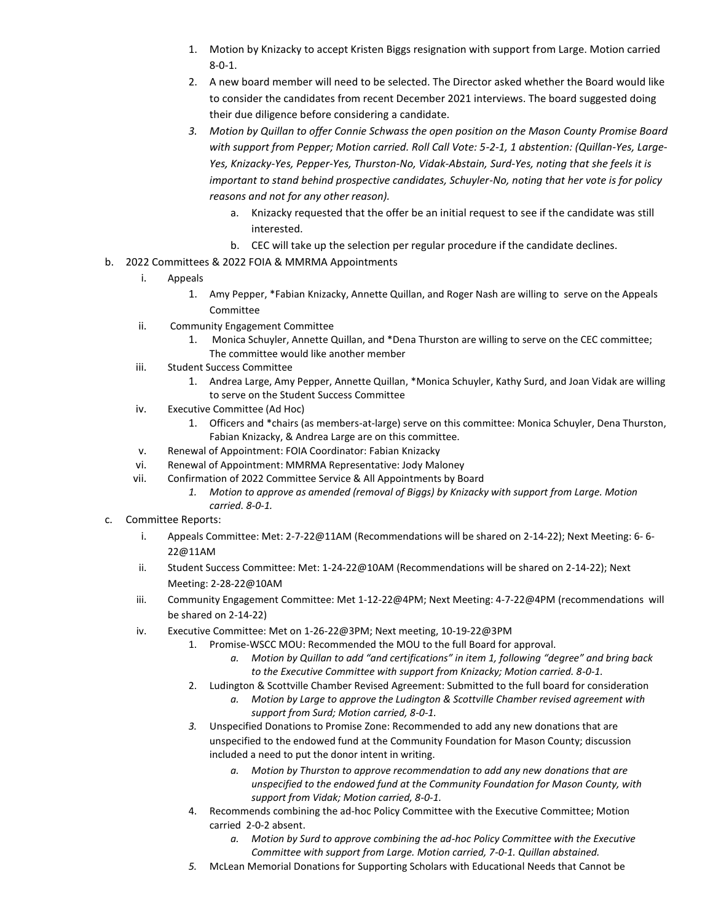- 1. Motion by Knizacky to accept Kristen Biggs resignation with support from Large. Motion carried 8-0-1.
- 2. A new board member will need to be selected. The Director asked whether the Board would like to consider the candidates from recent December 2021 interviews. The board suggested doing their due diligence before considering a candidate.
- *3. Motion by Quillan to offer Connie Schwass the open position on the Mason County Promise Board with support from Pepper; Motion carried. Roll Call Vote: 5-2-1, 1 abstention: (Quillan-Yes, Large-Yes, Knizacky-Yes, Pepper-Yes, Thurston-No, Vidak-Abstain, Surd-Yes, noting that she feels it is important to stand behind prospective candidates, Schuyler-No, noting that her vote is for policy reasons and not for any other reason).*
	- a. Knizacky requested that the offer be an initial request to see if the candidate was still interested.
	- b. CEC will take up the selection per regular procedure if the candidate declines.
- b. 2022 Committees & 2022 FOIA & MMRMA Appointments
	- i. Appeals
		- 1. Amy Pepper, \*Fabian Knizacky, Annette Quillan, and Roger Nash are willing to serve on the Appeals Committee
	- ii. Community Engagement Committee
		- 1. Monica Schuyler, Annette Quillan, and \*Dena Thurston are willing to serve on the CEC committee; The committee would like another member
	- iii. Student Success Committee
		- 1. Andrea Large, Amy Pepper, Annette Quillan, \*Monica Schuyler, Kathy Surd, and Joan Vidak are willing to serve on the Student Success Committee
	- iv. Executive Committee (Ad Hoc)
		- 1. Officers and \*chairs (as members-at-large) serve on this committee: Monica Schuyler, Dena Thurston, Fabian Knizacky, & Andrea Large are on this committee.
	- v. Renewal of Appointment: FOIA Coordinator: Fabian Knizacky
	- vi. Renewal of Appointment: MMRMA Representative: Jody Maloney
	- vii. Confirmation of 2022 Committee Service & All Appointments by Board
		- *1. Motion to approve as amended (removal of Biggs) by Knizacky with support from Large. Motion carried. 8-0-1.*
- c. Committee Reports:
	- i. Appeals Committee: Met: 2-7-22@11AM (Recommendations will be shared on 2-14-22); Next Meeting: 6- 6- 22@11AM
	- ii. Student Success Committee: Met: 1-24-22@10AM (Recommendations will be shared on 2-14-22); Next Meeting: 2-28-22@10AM
	- iii. Community Engagement Committee: Met 1-12-22@4PM; Next Meeting: 4-7-22@4PM (recommendations will be shared on 2-14-22)
	- iv. Executive Committee: Met on 1-26-22@3PM; Next meeting, 10-19-22@3PM
		- 1. Promise-WSCC MOU: Recommended the MOU to the full Board for approval.
			- *a. Motion by Quillan to add "and certifications" in item 1, following "degree" and bring back to the Executive Committee with support from Knizacky; Motion carried. 8-0-1.*
		- 2. Ludington & Scottville Chamber Revised Agreement: Submitted to the full board for consideration
			- *a. Motion by Large to approve the Ludington & Scottville Chamber revised agreement with support from Surd; Motion carried, 8-0-1.*
		- *3.* Unspecified Donations to Promise Zone: Recommended to add any new donations that are unspecified to the endowed fund at the Community Foundation for Mason County; discussion included a need to put the donor intent in writing.
			- *a. Motion by Thurston to approve recommendation to add any new donations that are unspecified to the endowed fund at the Community Foundation for Mason County, with support from Vidak; Motion carried, 8-0-1.*
		- 4. Recommends combining the ad-hoc Policy Committee with the Executive Committee; Motion carried 2-0-2 absent.
			- *a. Motion by Surd to approve combining the ad-hoc Policy Committee with the Executive Committee with support from Large. Motion carried, 7-0-1. Quillan abstained.*
		- *5.* McLean Memorial Donations for Supporting Scholars with Educational Needs that Cannot be